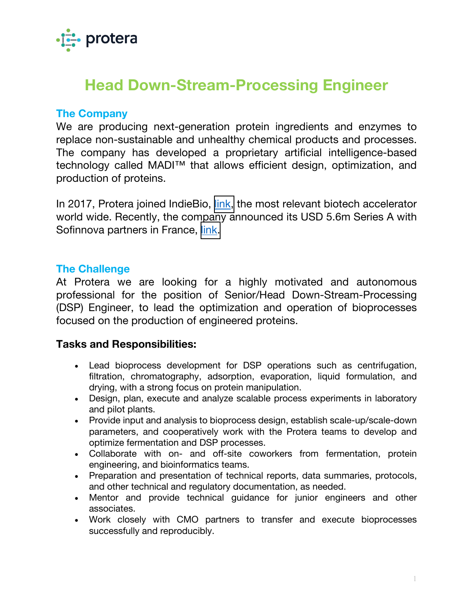

# **Head Down-Stream-Processing Engineer**

#### **The Company**

We are producing next-generation protein ingredients and enzymes to replace non-sustainable and unhealthy chemical products and processes. The company has developed a proprietary artificial intelligence-based technology called MADI™ that allows efficient design, optimization, and production of proteins.

In 2017, Protera joined IndieBio, [link,](https://indiebio.co) the most relevant biotech accelerator world wide. Recently, the company announced its USD 5.6m Series A with Sofinnova partners in France, [link.](https://www.proterabio.com/news/protera-closes-5-6m-series-a-financing-led-by-sofinnova-partners)

# **The Challenge**

At Protera we are looking for a highly motivated and autonomous professional for the position of Senior/Head Down-Stream-Processing (DSP) Engineer, to lead the optimization and operation of bioprocesses focused on the production of engineered proteins.

#### **Tasks and Responsibilities:**

- Lead bioprocess development for DSP operations such as centrifugation, filtration, chromatography, adsorption, evaporation, liquid formulation, and drying, with a strong focus on protein manipulation.
- Design, plan, execute and analyze scalable process experiments in laboratory and pilot plants.
- Provide input and analysis to bioprocess design, establish scale-up/scale-down parameters, and cooperatively work with the Protera teams to develop and optimize fermentation and DSP processes.
- Collaborate with on- and off-site coworkers from fermentation, protein engineering, and bioinformatics teams.
- Preparation and presentation of technical reports, data summaries, protocols, and other technical and regulatory documentation, as needed.
- Mentor and provide technical guidance for junior engineers and other associates.
- Work closely with CMO partners to transfer and execute bioprocesses successfully and reproducibly.